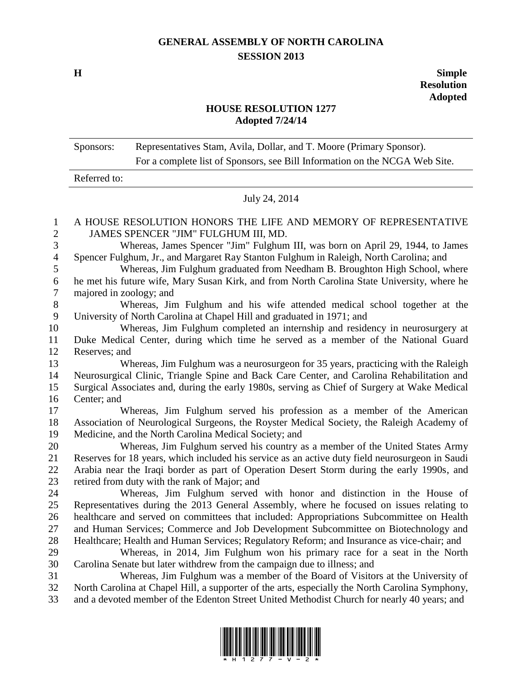## **GENERAL ASSEMBLY OF NORTH CAROLINA SESSION 2013**

**H Simple Resolution Adopted**

## **HOUSE RESOLUTION 1277 Adopted 7/24/14**

| Sponsors:    | Representatives Stam, Avila, Dollar, and T. Moore (Primary Sponsor).        |
|--------------|-----------------------------------------------------------------------------|
|              | For a complete list of Sponsors, see Bill Information on the NCGA Web Site. |
| Referred to: |                                                                             |

July 24, 2014

## A HOUSE RESOLUTION HONORS THE LIFE AND MEMORY OF REPRESENTATIVE JAMES SPENCER "JIM" FULGHUM III, MD.

 Whereas, James Spencer "Jim" Fulghum III, was born on April 29, 1944, to James Spencer Fulghum, Jr., and Margaret Ray Stanton Fulghum in Raleigh, North Carolina; and

 Whereas, Jim Fulghum graduated from Needham B. Broughton High School, where he met his future wife, Mary Susan Kirk, and from North Carolina State University, where he majored in zoology; and

 Whereas, Jim Fulghum and his wife attended medical school together at the University of North Carolina at Chapel Hill and graduated in 1971; and

 Whereas, Jim Fulghum completed an internship and residency in neurosurgery at Duke Medical Center, during which time he served as a member of the National Guard Reserves; and

 Whereas, Jim Fulghum was a neurosurgeon for 35 years, practicing with the Raleigh Neurosurgical Clinic, Triangle Spine and Back Care Center, and Carolina Rehabilitation and Surgical Associates and, during the early 1980s, serving as Chief of Surgery at Wake Medical Center; and

 Whereas, Jim Fulghum served his profession as a member of the American Association of Neurological Surgeons, the Royster Medical Society, the Raleigh Academy of Medicine, and the North Carolina Medical Society; and

 Whereas, Jim Fulghum served his country as a member of the United States Army Reserves for 18 years, which included his service as an active duty field neurosurgeon in Saudi Arabia near the Iraqi border as part of Operation Desert Storm during the early 1990s, and retired from duty with the rank of Major; and

 Whereas, Jim Fulghum served with honor and distinction in the House of Representatives during the 2013 General Assembly, where he focused on issues relating to healthcare and served on committees that included: Appropriations Subcommittee on Health and Human Services; Commerce and Job Development Subcommittee on Biotechnology and Healthcare; Health and Human Services; Regulatory Reform; and Insurance as vice-chair; and

 Whereas, in 2014, Jim Fulghum won his primary race for a seat in the North Carolina Senate but later withdrew from the campaign due to illness; and

 Whereas, Jim Fulghum was a member of the Board of Visitors at the University of North Carolina at Chapel Hill, a supporter of the arts, especially the North Carolina Symphony, and a devoted member of the Edenton Street United Methodist Church for nearly 40 years; and